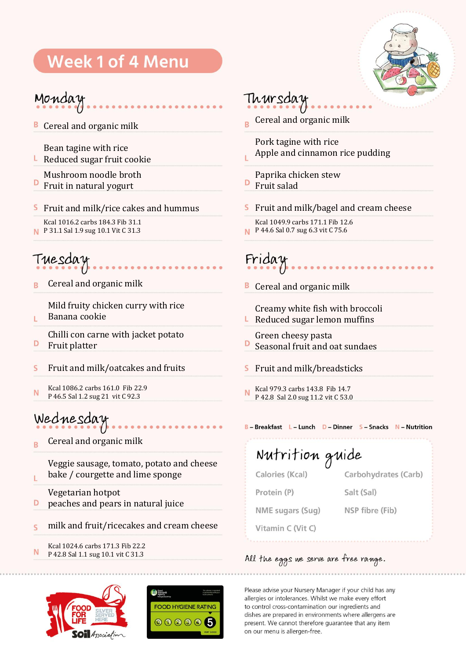## **Week 1 of 4 Menu**



### Monday

**B** Cereal and organic milk

Bean tagine with rice

 $\blacksquare$  Reduced sugar fruit cookie

Mushroom noodle broth

D Fruit in natural yogurt

#### S Fruit and milk/rice cakes and hummus

Kcal 1016.2 carbs 184.3 Fib 31.1 P 31.1 Sal 1.9 sug 10.1 Vit C 31.3

## Tuesday

Cereal and organic milk R

Mild fruity chicken curry with rice

- Banana cookie Ĺ
- Chilli con carne with jacket potato D Fruit platter
- Fruit and milk/oatcakes and fruits  $\mathsf{S}$
- Kcal 1086.2 carbs 161.0 Fib 22.9 N P 46.5 Sal 1.2 sug 21 vit C 92.3

### Wednesday

Ï.

Cereal and organic milk B

> Veggie sausage, tomato, potato and cheese bake / courgette and lime sponge

Vegetarian hotpot D peaches and pears in natural juice

- $\overline{\mathbf{s}}$ milk and fruit/ricecakes and cream cheese
- Kcal 1024.6 carbs 171.3 Fib 22.2 N P 42.8 Sal 1.1 sug 10.1 vit C 31.3





#### Thursday

Cereal and organic milk Ŕ

Pork tagine with rice

Apple and cinnamon rice pudding

#### Paprika chicken stew

- D Fruit salad
- Fruit and milk/bagel and cream cheese
	- Kcal 1049.9 carbs 171.1 Fib 12.6
- **N** P 44.6 Sal 0.7 sug 6.3 vit C 75.6

# Friday

**B** Cereal and organic milk

- Creamy white fish with broccoli  $L$  Reduced sugar lemon muffins
- Green cheesy pasta
- Seasonal fruit and oat sundaes
- Fruit and milk/breadsticks S
- Kcal 979.3 carbs 143.8 Fib 14.7 N P 42.8 Sal 2.0 sug 11.2 vit C 53.0

#### B-Breakfast L-Lunch D-Dinner S-Snacks N-Nutrition

Nutrition guide Calories (Kcal) Carbohydrates (Carb) Protein (P) Salt (Sal) NME sugars (Sug) NSP fibre (Fib) Vitamin C (Vit C)

#### All the eggs we serve are free range.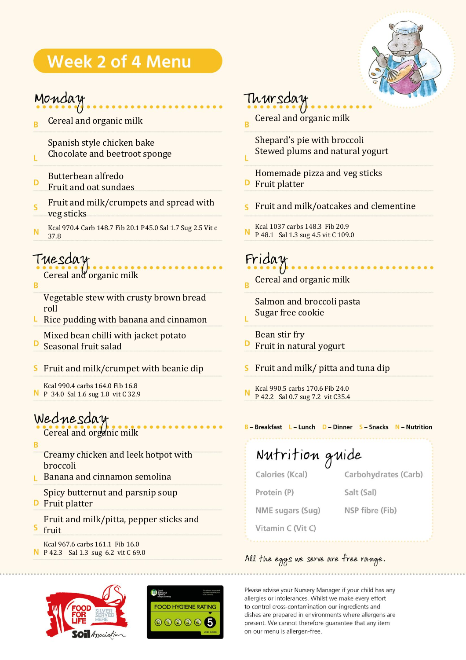## **Week 2 of 4 Menu**



#### Monday

Cereal and organic milk

Spanish style chicken bake

- Chocolate and beetroot sponge Ï.
- Butterbean alfredo D Fruit and oat sundaes
- Fruit and milk/crumpets and spread with  $\overline{\mathsf{s}}$ veg sticks
- Kcal 970.4 Carb 148.7 Fib 20.1 P45.0 Sal 1.7 Sug 2.5 Vit c N 37.8

### Tuesday

- Cereal and organic milk
- R
	- Vegetable stew with crusty brown bread roll
- Kcal 1037 carbs 148.3 Fib 20.9 P48.1 Sal Rice pudding with banana and cinnamon
- Mixed bean chilli with jacket potato D Seasonal fruit salad
- Fruit and milk/crumpet with beanie dip s
- Kcal 990.4 carbs 164.0 Fib 16.8 N P 34.0 Sal 1.6 sug 1.0 vit C 32.9

#### Wednesday Cereal and organic milk

R

- Creamy chicken and leek hotpot with broccoli
- **Banana and cinnamon semolina**
- Spicy butternut and parsnip soup
- **D** Fruit platter
	- Fruit and milk/pitta, pepper sticks and fruit
- Kcal 967.6 carbs 161.1 Fib 16.0 P 42.3 Sal 1.3 sug 6.2 vit C 69.0





### Thursday

- Cereal and organic milk Ŕ
	- Shepard's pie with broccoli Stewed plums and natural yogurt
- Homemade pizza and veg sticks D Fruit platter
- Fruit and milk/oatcakes and clementine
- Kcal 1037 carbs 148.3 Fib 20.9 P 48.1 Sal 1.3 sug 4.5 vit C 109.0

## Friday

Cereal and organic milk

Salmon and broccoli pasta Sugar free cookie

- Bean stir fry
- D Fruit in natural yogurt
- Fruit and milk/ pitta and tuna dip
- Kcal 990.5 carbs 170.6 Fib 24.0 P 42.2 Sal 0.7 sug 7.2 vit C35.4

#### B-Breakfast L-Lunch D-Dinner S-Snacks N-Nutrition

#### Nutrition guide Calories (Kcal) Carbohydrates (Carb) Protein (P) Salt (Sal) NME sugars (Sug) NSP fibre (Fib)

Vitamin C (Vit C)

## All the eggs we serve are free range.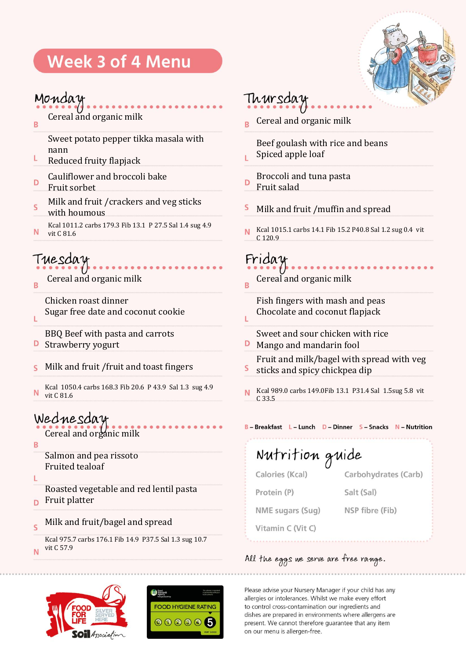## Week 3 of 4 Menu

## Monday

R

Cereal and organic milk

Sweet potato pepper tikka masala with nann

- L Reduced fruity flapjack
- Cauliflower and broccoli bake D Fruit sorbet
- Milk and fruit /crackers and veg sticks  $\overline{\mathsf{s}}$
- with houmous Kcal 1011.2 carbs 179.3 Fib 13.1 P 27.5 Sal 1.4 sug 4.9 N vit C 81.6

### Tuesday

R

Ĺ

Cereal and organic milk

Chicken roast dinner Sugar free date and coconut cookie

BBQ Beef with pasta and carrots

- D Strawberry yogurt
- Milk and fruit /fruit and toast fingers S
- Kcal 1050.4 carbs 168.3 Fib 20.6 P 43.9 Sal 1.3 sug 4.9 N vit C 81.6

### Wednesday

Cereal and organic milk

B

Salmon and pea rissoto Fruited tealoaf

Ĺ

Roasted vegetable and red lentil pasta Fruit platter D

Milk and fruit/bagel and spread  $\overline{\mathsf{S}}$ 

Kcal 975.7 carbs 176.1 Fib 14.9 P37.5 Sal 1.3 sug 10.7 vit C 57.9N





## Thursday

Cereal and organic milk

Beef goulash with rice and beans Spiced apple loaf

- Broccoli and tuna pasta D Fruit salad
- S Milk and fruit /muffin and spread
- Kcal 1015.1 carbs 14.1 Fib 15.2 P40.8 Sal 1.2 sug 0.4 vit N C 120.9

### Friday

Ĺ

Cereal and organic milk Ŕ

#### Fish fingers with mash and peas Chocolate and coconut flapjack

- Sweet and sour chicken with rice D
- Mango and mandarin fool Fruit and milk/bagel with spread with veg S sticks and spicy chickpea dip
- Kcal 989.0 carbs 149.0Fib 13.1 P31.4 Sal 1.5sug 5.8 vit N C 33.5

#### B-Breakfast L-Lunch D-Dinner S-Snacks N-Nutrition

Nutrition guide Calories (Kcal) Carbohydrates (Carb) Protein (P) Salt (Sal) NME sugars (Sug) NSP fibre (Fib) Vitamin C (Vit C)

#### All the eggs we serve are free range.